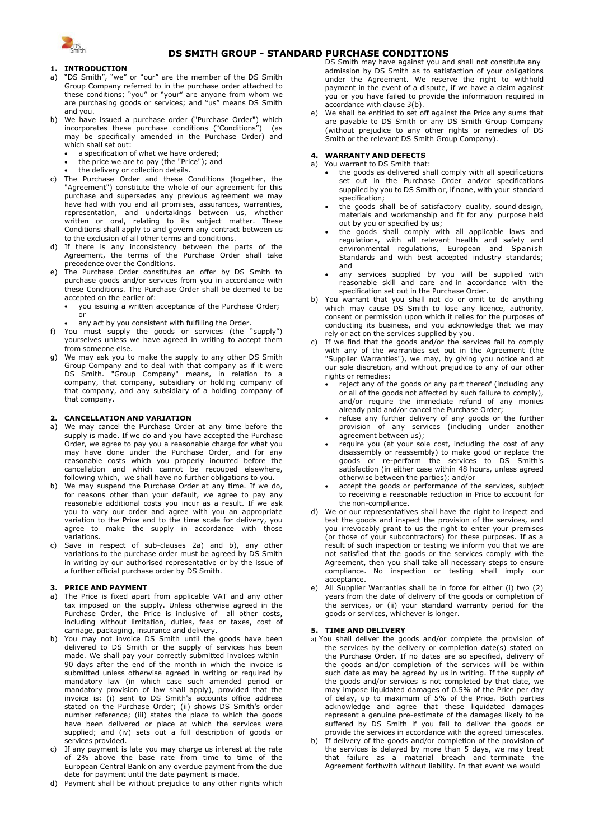

# **DS SMITH GROUP - STANDARD PURCHASE CONDITIONS**

## **1. INTRODUCTION**

- a) "DS Smith", "we" or "our" are the member of the DS Smith Group Company referred to in the purchase order attached to these conditions; "you" or "your" are anyone from whom we are purchasing goods or services; and "us" means DS Smith and you.
- We have issued a purchase order ("Purchase Order") which incorporates these purchase conditions ("Conditions") (as may be specifically amended in the Purchase Order) and which shall set out:
	- a specification of what we have ordered;
	- the price we are to pay (the "Price"); and
	- the delivery or collection details.
- c) The Purchase Order and these Conditions (together, the "Agreement") constitute the whole of our agreement for this purchase and supersedes any previous agreement we may have had with you and all promises, assurances, warranties, representation, and undertakings between us, whether written or oral, relating to its subject matter. These Conditions shall apply to and govern any contract between us to the exclusion of all other terms and conditions.
- d) If there is any inconsistency between the parts of the Agreement, the terms of the Purchase Order shall take precedence over the Conditions.
- e) The Purchase Order constitutes an offer by DS Smith to purchase goods and/or services from you in accordance with these Conditions. The Purchase Order shall be deemed to be accepted on the earlier of:
	- you issuing a written acceptance of the Purchase Order; or
	- any act by you consistent with fulfilling the Order.
- f) You must supply the goods or services (the "supply") yourselves unless we have agreed in writing to accept them from someone else.
- g) We may ask you to make the supply to any other DS Smith Group Company and to deal with that company as if it were DS Smith. "Group Company" means, in relation to a company, that company, subsidiary or holding company of that company, and any subsidiary of a holding company of that company.

## **2. CANCELLATION AND VARIATION**

- <span id="page-0-0"></span>a) We may cancel the Purchase Order at any time before the supply is made. If we do and you have accepted the Purchase Order, we agree to pay you a reasonable charge for what you may have done under the Purchase Order, and for any reasonable costs which you properly incurred before the cancellation and which cannot be recouped elsewhere, following which, we shall have no further obligations to you.
- <span id="page-0-1"></span>b) We may suspend the Purchase Order at any time. If we do, for reasons other than your default, we agree to pay any reasonable additional costs you incur as a result. If we ask you to vary our order and agree with you an appropriate variation to the Price and to the time scale for delivery, you agree to make the supply in accordance with those variations.
- c) Save in respect of sub-clauses [2a\)](#page-0-0) and [b\),](#page-0-1) any other variations to the purchase order must be agreed by DS Smith in writing by our authorised representative or by the issue of a further official purchase order by DS Smith.

## **3. PRICE AND PAYMENT**

- a) The Price is fixed apart from applicable VAT and any other tax imposed on the supply. Unless otherwise agreed in the Purchase Order, the Price is inclusive of all other costs, including without limitation, duties, fees or taxes, cost of carriage, packaging, insurance and delivery.
- b) You may not invoice DS Smith until the goods have been delivered to DS Smith or the supply of services has been made. We shall pay your correctly submitted invoices within 90 days after the end of the month in which the invoice is submitted unless otherwise agreed in writing or required by mandatory law (in which case such amended period or mandatory provision of law shall apply), provided that the invoice is: (i) sent to DS Smith's accounts office address stated on the Purchase Order; (ii) shows DS Smith's order number reference; (iii) states the place to which the goods have been delivered or place at which the services were supplied; and (iv) sets out a full description of goods or services provided.
- c) If any payment is late you may charge us interest at the rate of 2% above the base rate from time to time of the European Central Bank on any overdue payment from the due date for payment until the date payment is made.
- d) Payment shall be without prejudice to any other rights which

DS Smith may have against you and shall not constitute any admission by DS Smith as to satisfaction of your obligations under the Agreement. We reserve the right to withhold payment in the event of a dispute, if we have a claim against you or you have failed to provide the information required in accordance with clause 3(b).

e) We shall be entitled to set off against the Price any sums that are payable to DS Smith or any DS Smith Group Company (without prejudice to any other rights or remedies of DS Smith or the relevant DS Smith Group Company).

### **4. WARRANTY AND DEFECTS**

- a) You warrant to DS Smith that:
	- the goods as delivered shall comply with all specifications set out in the Purchase Order and/or specifications supplied by you to DS Smith or, if none, with your standard specification;
	- the goods shall be of satisfactory quality, sound design, materials and workmanship and fit for any purpose held out by you or specified by us;
	- the goods shall comply with all applicable laws and regulations, with all relevant health and safety and environmental regulations, European and Spanish Standards and with best accepted industry standards; and
	- any services supplied by you will be supplied with reasonable skill and care and in accordance with the specification set out in the Purchase Order.
- b) You warrant that you shall not do or omit to do anything which may cause DS Smith to lose any licence, authority, consent or permission upon which it relies for the purposes of conducting its business, and you acknowledge that we may rely or act on the services supplied by you.
- c) If we find that the goods and/or the services fail to comply with any of the warranties set out in the Agreement (the "Supplier Warranties"), we may, by giving you notice and at our sole discretion, and without prejudice to any of our other rights or remedies:
	- reject any of the goods or any part thereof (including any or all of the goods not affected by such failure to comply), and/or require the immediate refund of any monies already paid and/or cancel the Purchase Order;
	- refuse any further delivery of any goods or the further provision of any services (including under another agreement between us);
	- require you (at your sole cost, including the cost of any disassembly or reassembly) to make good or replace the goods or re-perform the services to DS Smith's satisfaction (in either case within 48 hours, unless agreed otherwise between the parties); and/or
	- accept the goods or performance of the services, subject to receiving a reasonable reduction in Price to account for the non-compliance.
- d) We or our representatives shall have the right to inspect and test the goods and inspect the provision of the services, and you irrevocably grant to us the right to enter your premises (or those of your subcontractors) for these purposes. If as a result of such inspection or testing we inform you that we are not satisfied that the goods or the services comply with the Agreement, then you shall take all necessary steps to ensure compliance. No inspection or testing shall imply acceptance.
- e) All Supplier Warranties shall be in force for either (i) two (2) years from the date of delivery of the goods or completion of the services, or (ii) your standard warranty period for the goods or services, whichever is longer.

#### **5. TIME AND DELIVERY**

- a) You shall deliver the goods and/or complete the provision of the services by the delivery or completion date(s) stated on the Purchase Order. If no dates are so specified, delivery of the goods and/or completion of the services will be within such date as may be agreed by us in writing. If the supply of the goods and/or services is not completed by that date, we may impose liquidated damages of 0.5% of the Price per day of delay, up to maximum of 5% of the Price. Both parties acknowledge and agree that these liquidated damages represent a genuine pre-estimate of the damages likely to be suffered by DS Smith if you fail to deliver the goods or provide the services in accordance with the agreed timescales.
- b) If delivery of the goods and/or completion of the provision of the services is delayed by more than 5 days, we may treat that failure as a material breach and terminate the Agreement forthwith without liability. In that event we would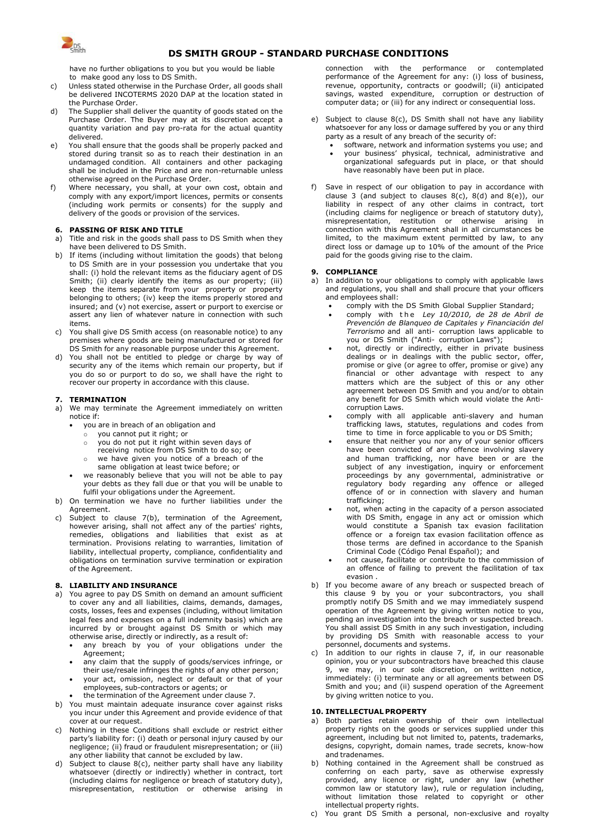

# **DS SMITH GROUP - STANDARD PURCHASE CONDITIONS**

have no further obligations to you but you would be liable to make good any loss to DS Smith.

- c) Unless stated otherwise in the Purchase Order, all goods shall be delivered INCOTERMS 2020 DAP at the location stated in the Purchase Order.
- d) The Supplier shall deliver the quantity of goods stated on the Purchase Order. The Buyer may at its discretion accept a quantity variation and pay pro-rata for the actual quantity delivered.
- e) You shall ensure that the goods shall be properly packed and stored during transit so as to reach their destination in an undamaged condition. All containers and other packaging shall be included in the Price and are non-returnable unless otherwise agreed on the Purchase Order.
- f) Where necessary, you shall, at your own cost, obtain and comply with any export/import licences, permits or consents (including work permits or consents) for the supply and delivery of the goods or provision of the services.

### **6. PASSING OF RISK AND TITLE**

- a) Title and risk in the goods shall pass to DS Smith when they have been delivered to DS Smith.
- b) If items (including without limitation the goods) that belong to DS Smith are in your possession you undertake that you shall: (i) hold the relevant items as the fiduciary agent of DS Smith; (ii) clearly identify the items as our property; (iii) keep the items separate from your property or property belonging to others; (iv) keep the items properly stored and insured; and (v) not exercise, assert or purport to exercise or assert any lien of whatever nature in connection with such items.
- c) You shall give DS Smith access (on reasonable notice) to any premises where goods are being manufactured or stored for DS Smith for any reasonable purpose under this Agreement.
- d) You shall not be entitled to pledge or charge by way of security any of the items which remain our property, but if you do so or purport to do so, we shall have the right to recover our property in accordance with this clause.

# **7. TERMINATION**

- We may terminate the Agreement immediately on written notice if:
	- you are in breach of an obligation and
		- $\circ$  you cannot put it right; or
		- o you do not put it right within seven days of
		- receiving notice from DS Smith to do so; or
		- we have given you notice of a breach of the same obligation at least twice before; or
	- we reasonably believe that you will not be able to pay your debts as they fall due or that you will be unable to fulfil your obligations under the Agreement.
- b) On termination we have no further liabilities under the Agreement.
- c) Subject to clause 7(b), termination of the Agreement, however arising, shall not affect any of the parties' rights, remedies, obligations and liabilities that exist as at termination. Provisions relating to warranties, limitation of liability, intellectual property, compliance, confidentiality and obligations on termination survive termination or expiration of the Agreement.

## **8. LIABILITY AND INSURANCE**

- a) You agree to pay DS Smith on demand an amount sufficient to cover any and all liabilities, claims, demands, damages, costs, losses, fees and expenses (including, without limitation legal fees and expenses on a full indemnity basis) which are incurred by or brought against DS Smith or which may otherwise arise, directly or indirectly, as a result of:
	- any breach by you of your obligations under the Agreement;
	- any claim that the supply of goods/services infringe, or their use/resale infringes the rights of any other person;
	- your act, omission, neglect or default or that of your employees, sub-contractors or agents; or
	- the termination of the Agreement under clause 7.
- b) You must maintain adequate insurance cover against risks you incur under this Agreement and provide evidence of that cover at our request.
- c) Nothing in these Conditions shall exclude or restrict either party's liability for: (i) death or personal injury caused by our negligence; (ii) fraud or fraudulent misrepresentation; or (iii) any other liability that cannot be excluded by law.
- d) Subject to clause 8(c), neither party shall have any liability whatsoever (directly or indirectly) whether in contract, tort (including claims for negligence or breach of statutory duty), misrepresentation, restitution or otherwise arising in

connection with the performance or contemplated performance of the Agreement for any: (i) loss of business, revenue, opportunity, contracts or goodwill; (ii) anticipated savings, wasted expenditure, corruption or destruction of computer data; or (iii) for any indirect or consequential loss.

- e) Subject to clause 8(c), DS Smith shall not have any liability whatsoever for any loss or damage suffered by you or any third party as a result of any breach of the security of:
	- software, network and information systems you use; and • your business' physical, technical, administrative and organizational safeguards put in place, or that should have reasonably have been put in place.
- Save in respect of our obligation to pay in accordance with clause 3 (and subject to clauses  $8(c)$ ,  $8(d)$  and  $8(e)$ ), our liability in respect of any other claims in contract, tort (including claims for negligence or breach of statutory duty), misrepresentation, restitution or otherwise arising in connection with this Agreement shall in all circumstances be limited, to the maximum extent permitted by law, to any direct loss or damage up to 10% of the amount of the Price paid for the goods giving rise to the claim.

### **9. COMPLIANCE**

- a) In addition to your obligations to comply with applicable laws and regulations, you shall and shall procure that your officers and employees shall:
	- comply with the DS Smith Global Supplier Standard;
	- comply with t h e *Ley 10/2010, de 28 de Abril de Prevención de Blanqueo de Capitales y Financiación del Terrorismo* and all anti- corruption laws applicable to you or DS Smith ("Anti- corruption Laws");
	- not, directly or indirectly, either in private business dealings or in dealings with the public sector, offer, promise or give (or agree to offer, promise or give) any financial or other advantage with respect to any matters which are the subject of this or any other agreement between DS Smith and you and/or to obtain any benefit for DS Smith which would violate the Anticorruption Laws.
	- comply with all applicable anti-slavery and human trafficking laws, statutes, regulations and codes from time to time in force applicable to you or DS Smith;
	- ensure that neither you nor any of your senior officers have been convicted of any offence involving slavery and human trafficking, nor have been or are the subject of any investigation, inquiry or enforcement proceedings by any governmental, administrative or regulatory body regarding any offence or alleged offence of or in connection with slavery and human trafficking;
	- not, when acting in the capacity of a person associated with DS Smith, engage in any act or omission which would constitute a Spanish tax evasion facilitation offence or a foreign tax evasion facilitation offence as those terms are defined in accordance to the Spanish Criminal Code (Código Penal Español); and
	- not cause, facilitate or contribute to the commission of an offence of failing to prevent the facilitation of tax evasion .
- b) If you become aware of any breach or suspected breach of this clause 9 by you or your subcontractors, you shall promptly notify DS Smith and we may immediately suspend operation of the Agreement by giving written notice to you, pending an investigation into the breach or suspected breach. You shall assist DS Smith in any such investigation, including by providing DS Smith with reasonable access to your personnel, documents and systems.
- In addition to our rights in clause 7, if, in our reasonable opinion, you or your subcontractors have breached this clause 9, we may, in our sole discretion, on written notice, immediately: (i) terminate any or all agreements between DS Smith and you; and (ii) suspend operation of the Agreement by giving written notice to you.

## **10. INTELLECTUAL PROPERTY**

- a) Both parties retain ownership of their own intellectual property rights on the goods or services supplied under this agreement, including but not limited to, patents, trademarks, designs, copyright, domain names, trade secrets, know-how and tradenames.
- b) Nothing contained in the Agreement shall be construed as conferring on each party, save as otherwise expressly provided, any licence or right, under any law (whether common law or statutory law), rule or regulation including, without limitation those related to copyright or other intellectual property rights.
- c) You grant DS Smith a personal, non-exclusive and royalty